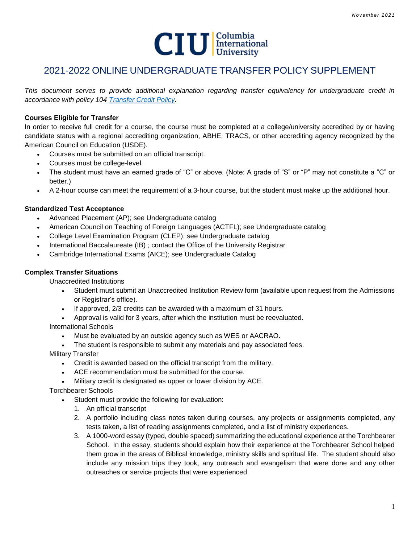

# 2021-2022 ONLINE UNDERGRADUATE TRANSFER POLICY SUPPLEMENT

*This document serves to provide additional explanation regarding transfer equivalency for undergraduate credit in accordance with policy 104 [Transfer Credit Policy.](https://www.ciu.edu/sites/default/files/104%20001%20Transfer%20Credit%20Policy.pdf)*

# **Courses Eligible for Transfer**

In order to receive full credit for a course, the course must be completed at a college/university accredited by or having candidate status with a regional accrediting organization, ABHE, TRACS, or other accrediting agency recognized by the American Council on Education (USDE).

- Courses must be submitted on an official transcript.
- Courses must be college-level.
- The student must have an earned grade of "C" or above. (Note: A grade of "S" or "P" may not constitute a "C" or better.)
- A 2-hour course can meet the requirement of a 3-hour course, but the student must make up the additional hour.

## **Standardized Test Acceptance**

- Advanced Placement (AP); see Undergraduate catalog
- American Council on Teaching of Foreign Languages (ACTFL); see Undergraduate catalog
- College Level Examination Program (CLEP); see Undergraduate catalog
- International Baccalaureate (IB) ; contact the Office of the University Registrar
- Cambridge International Exams (AICE); see Undergraduate Catalog

## **Complex Transfer Situations**

Unaccredited Institutions

- Student must submit an Unaccredited Institution Review form (available upon request from the Admissions or Registrar's office).
- If approved, 2/3 credits can be awarded with a maximum of 31 hours.
- Approval is valid for 3 years, after which the institution must be reevaluated.

International Schools

- Must be evaluated by an outside agency such as WES or AACRAO.
- The student is responsible to submit any materials and pay associated fees.
- Military Transfer
	- Credit is awarded based on the official transcript from the military.
	- ACE recommendation must be submitted for the course.
	- Military credit is designated as upper or lower division by ACE.

Torchbearer Schools

- Student must provide the following for evaluation:
	- 1. An official transcript
	- 2. A portfolio including class notes taken during courses, any projects or assignments completed, any tests taken, a list of reading assignments completed, and a list of ministry experiences.
	- 3. A 1000-word essay (typed, double spaced) summarizing the educational experience at the Torchbearer School. In the essay, students should explain how their experience at the Torchbearer School helped them grow in the areas of Biblical knowledge, ministry skills and spiritual life. The student should also include any mission trips they took, any outreach and evangelism that were done and any other outreaches or service projects that were experienced.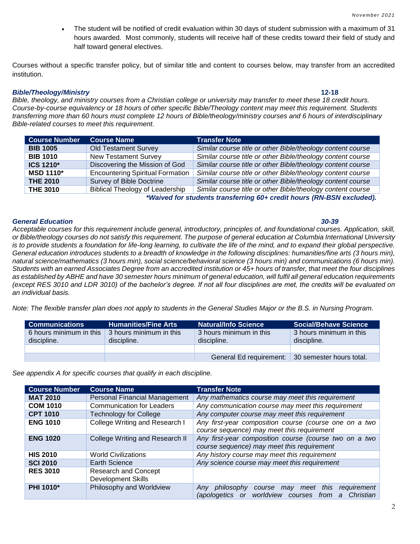• The student will be notified of credit evaluation within 30 days of student submission with a maximum of 31 hours awarded. Most commonly, students will receive half of these credits toward their field of study and half toward general electives.

Courses without a specific transfer policy, but of similar title and content to courses below, may transfer from an accredited institution.

### *Bible/Theology/Ministry* **12-18**

*Bible, theology, and ministry courses from a Christian college or university may transfer to meet these 18 credit hours. Course-by-course equivalency or 18 hours of other specific Bible/Theology content may meet this requirement. Students transferring more than 60 hours must complete 12 hours of Bible/theology/ministry courses and 6 hours of interdisciplinary Bible-related courses to meet this requirement.* 

| <b>Course Number</b> | <b>Course Name</b>                      | <b>Transfer Note</b>                                        |
|----------------------|-----------------------------------------|-------------------------------------------------------------|
| <b>BIB 1005</b>      | <b>Old Testament Survey</b>             | Similar course title or other Bible/theology content course |
| <b>BIB 1010</b>      | <b>New Testament Survey</b>             | Similar course title or other Bible/theology content course |
| ICS 1210*            | Discovering the Mission of God          | Similar course title or other Bible/theology content course |
| <b>MSD 1110*</b>     | <b>Encountering Spiritual Formation</b> | Similar course title or other Bible/theology content course |
| <b>THE 2010</b>      | Survey of Bible Doctrine                | Similar course title or other Bible/theology content course |
| <b>THE 3010</b>      | <b>Biblical Theology of Leadership</b>  | Similar course title or other Bible/theology content course |
|                      |                                         |                                                             |

*\*Waived for students transferring 60+ credit hours (RN-BSN excluded).*

### *General Education 30-39*

*Acceptable courses for this requirement include general, introductory, principles of, and foundational courses. Application, skill, or Bible/theology courses do not satisfy this requirement. The purpose of general education at Columbia International University*  is to provide students a foundation for life-long learning, to cultivate the life of the mind, and to expand their global perspective. *General education introduces students to a breadth of knowledge in the following disciplines: humanities/fine arts (3 hours min), natural science/mathematics (3 hours min), social science/behavioral science (3 hours min) and communications (6 hours min). Students with an earned Associates Degree from an accredited institution or 45+ hours of transfer, that meet the four disciplines as established by ABHE and have 30 semester hours minimum of general education, will fulfil all general education requirements (except RES 3010 and LDR 3010) of the bachelor's degree. If not all four disciplines are met, the credits will be evaluated on an individual basis.* 

*Note: The flexible transfer plan does not apply to students in the General Studies Major or the B.S. in Nursing Program.*

| l Communications i                     | <b>Humanities/Fine Arts</b>            | Natural/Info Science                   | <b>Social/Behave Science</b>           |
|----------------------------------------|----------------------------------------|----------------------------------------|----------------------------------------|
| 6 hours minimum in this<br>discipline. | 3 hours minimum in this<br>discipline. | 3 hours minimum in this<br>discipline. | 3 hours minimum in this<br>discipline. |
|                                        |                                        |                                        |                                        |
|                                        |                                        | General Ed requirement:                | 30 semester hours total.               |

*See appendix A for specific courses that qualify in each discipline.*

| <b>Course Number</b> | <b>Course Name</b>                                       | <b>Transfer Note</b>                                                                                                             |
|----------------------|----------------------------------------------------------|----------------------------------------------------------------------------------------------------------------------------------|
| <b>MAT 2010</b>      | Personal Financial Management                            | Any mathematics course may meet this requirement                                                                                 |
| <b>COM 1010</b>      | <b>Communication for Leaders</b>                         | Any communication course may meet this requirement                                                                               |
| <b>CPT 1010</b>      | Technology for College                                   | Any computer course may meet this requirement                                                                                    |
| <b>ENG 1010</b>      | College Writing and Research I                           | Any first-year composition course (course one on a two<br>course sequence) may meet this requirement                             |
| <b>ENG 1020</b>      | College Writing and Research II                          | Any first-year composition course (course two on a two<br>course sequence) may meet this requirement                             |
| <b>HIS 2010</b>      | <b>World Civilizations</b>                               | Any history course may meet this requirement                                                                                     |
| <b>SCI 2010</b>      | Earth Science                                            | Any science course may meet this requirement                                                                                     |
| <b>RES 3010</b>      | <b>Research and Concept</b><br><b>Development Skills</b> |                                                                                                                                  |
| <b>PHI 1010*</b>     | Philosophy and Worldview                                 | meet this<br>requirement<br>Any<br>philosophy course<br>may<br>worldview<br>Christian<br>(apologetics or<br>courses<br>from<br>a |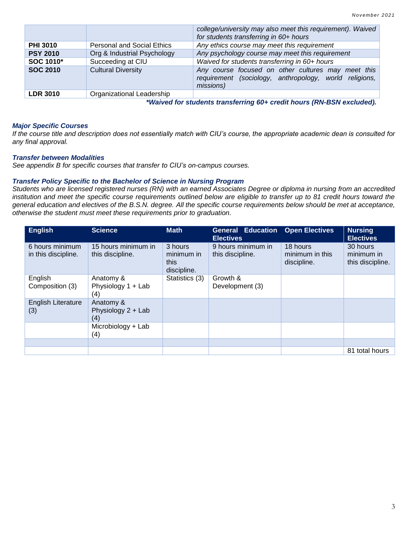|                 |                                   | college/university may also meet this requirement). Waived<br>for students transferring in 60+ hours                      |
|-----------------|-----------------------------------|---------------------------------------------------------------------------------------------------------------------------|
| <b>PHI 3010</b> | <b>Personal and Social Ethics</b> | Any ethics course may meet this requirement                                                                               |
| <b>PSY 2010</b> | Org & Industrial Psychology       | Any psychology course may meet this requirement                                                                           |
| SOC 1010*       | Succeeding at CIU                 | Waived for students transferring in 60+ hours                                                                             |
| <b>SOC 2010</b> | <b>Cultural Diversity</b>         | Any course focused on other cultures may meet this<br>requirement (sociology, anthropology, world religions,<br>missions) |
| <b>LDR 3010</b> | Organizational Leadership         |                                                                                                                           |

*\*Waived for students transferring 60+ credit hours (RN-BSN excluded).*

## *Major Specific Courses*

*If the course title and description does not essentially match with CIU's course, the appropriate academic dean is consulted for any final approval.*

### *Transfer between Modalities*

*See appendix B for specific courses that transfer to CIU's on-campus courses.*

### *Transfer Policy Specific to the Bachelor of Science in Nursing Program*

*Students who are licensed registered nurses (RN) with an earned Associates Degree or diploma in nursing from an accredited institution and meet the specific course requirements outlined below are eligible to transfer up to 81 credit hours toward the general education and electives of the B.S.N. degree. All the specific course requirements below should be met at acceptance, otherwise the student must meet these requirements prior to graduation.* 

| <b>English</b>                         | <b>Science</b>                          | <b>Math</b>                                  | <b>General Education</b><br><b>Electives</b> | <b>Open Electives</b>                      | <b>Nursing</b><br><b>Electives</b>         |
|----------------------------------------|-----------------------------------------|----------------------------------------------|----------------------------------------------|--------------------------------------------|--------------------------------------------|
| 6 hours minimum<br>in this discipline. | 15 hours minimum in<br>this discipline. | 3 hours<br>minimum in<br>this<br>discipline. | 9 hours minimum in<br>this discipline.       | 18 hours<br>minimum in this<br>discipline. | 30 hours<br>minimum in<br>this discipline. |
| English<br>Composition (3)             | Anatomy &<br>Physiology 1 + Lab<br>(4)  | Statistics (3)                               | Growth &<br>Development (3)                  |                                            |                                            |
| English Literature<br>(3)              | Anatomy &<br>Physiology 2 + Lab<br>(4)  |                                              |                                              |                                            |                                            |
|                                        | Microbiology + Lab<br>(4)               |                                              |                                              |                                            |                                            |
|                                        |                                         |                                              |                                              |                                            |                                            |
|                                        |                                         |                                              |                                              |                                            | 81 total hours                             |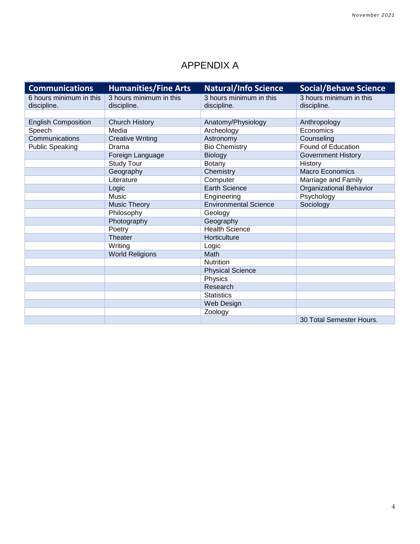# APPENDIX A

| <b>Communications</b>      | <b>Humanities/Fine Arts</b> | <b>Natural/Info Science</b>  | <b>Social/Behave Science</b> |
|----------------------------|-----------------------------|------------------------------|------------------------------|
| 6 hours minimum in this    | 3 hours minimum in this     | 3 hours minimum in this      | 3 hours minimum in this      |
| discipline.                | discipline.                 | discipline.                  | discipline.                  |
|                            |                             |                              |                              |
| <b>English Composition</b> | <b>Church History</b>       | Anatomy/Physiology           | Anthropology                 |
| Speech                     | Media                       | Archeology                   | Economics                    |
| Communications             | <b>Creative Writing</b>     | Astronomy                    | Counseling                   |
| <b>Public Speaking</b>     | Drama                       | <b>Bio Chemistry</b>         | Found of Education           |
|                            | Foreign Language            | Biology                      | <b>Government History</b>    |
|                            | <b>Study Tour</b>           | <b>Botany</b>                | History                      |
|                            | Geography                   | Chemistry                    | Macro Economics              |
|                            | Literature                  | Computer                     | Marriage and Family          |
|                            | Logic                       | <b>Earth Science</b>         | Organizational Behavior      |
|                            | Music                       | Engineering                  | Psychology                   |
|                            | <b>Music Theory</b>         | <b>Environmental Science</b> | Sociology                    |
|                            | Philosophy                  | Geology                      |                              |
|                            | Photography                 | Geography                    |                              |
|                            | Poetry                      | <b>Health Science</b>        |                              |
|                            | Theater                     | Horticulture                 |                              |
|                            | Writing                     | Logic                        |                              |
|                            | <b>World Religions</b>      | Math                         |                              |
|                            |                             | Nutrition                    |                              |
|                            |                             | <b>Physical Science</b>      |                              |
|                            |                             | Physics                      |                              |
|                            |                             | Research                     |                              |
|                            |                             | <b>Statistics</b>            |                              |
|                            |                             | Web Design                   |                              |
|                            |                             | Zoology                      |                              |
|                            |                             |                              | 30 Total Semester Hours.     |